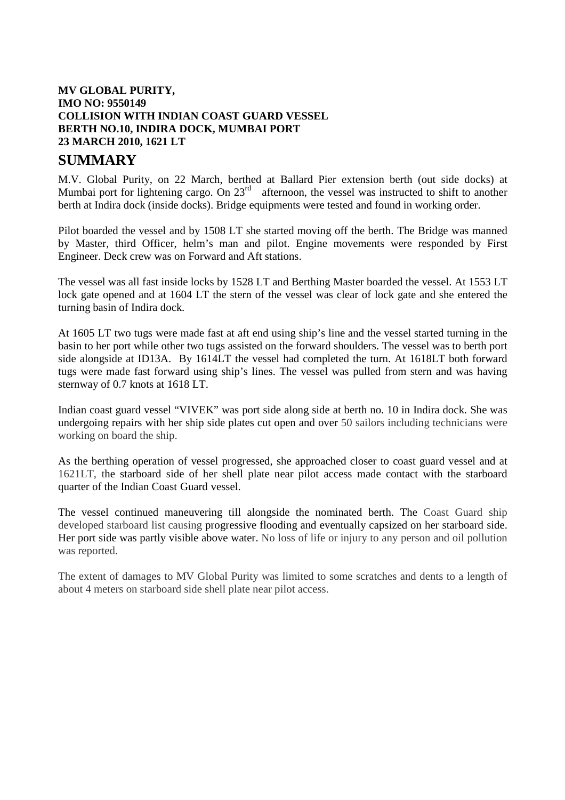## **MV GLOBAL PURITY, IMO NO: 9550149 COLLISION WITH INDIAN COAST GUARD VESSEL BERTH NO.10, INDIRA DOCK, MUMBAI PORT 23 MARCH 2010, 1621 LT**

## **SUMMARY**

M.V. Global Purity, on 22 March, berthed at Ballard Pier extension berth (out side docks) at Mumbai port for lightening cargo. On 23<sup>rd</sup> afternoon, the vessel was instructed to shift to another berth at Indira dock (inside docks). Bridge equipments were tested and found in working order.

Pilot boarded the vessel and by 1508 LT she started moving off the berth. The Bridge was manned by Master, third Officer, helm's man and pilot. Engine movements were responded by First Engineer. Deck crew was on Forward and Aft stations.

The vessel was all fast inside locks by 1528 LT and Berthing Master boarded the vessel. At 1553 LT lock gate opened and at 1604 LT the stern of the vessel was clear of lock gate and she entered the turning basin of Indira dock.

At 1605 LT two tugs were made fast at aft end using ship's line and the vessel started turning in the basin to her port while other two tugs assisted on the forward shoulders. The vessel was to berth port side alongside at ID13A. By 1614LT the vessel had completed the turn. At 1618LT both forward tugs were made fast forward using ship's lines. The vessel was pulled from stern and was having sternway of 0.7 knots at 1618 LT.

Indian coast guard vessel "VIVEK" was port side along side at berth no. 10 in Indira dock. She was undergoing repairs with her ship side plates cut open and over 50 sailors including technicians were working on board the ship.

As the berthing operation of vessel progressed, she approached closer to coast guard vessel and at 1621LT, the starboard side of her shell plate near pilot access made contact with the starboard quarter of the Indian Coast Guard vessel.

The vessel continued maneuvering till alongside the nominated berth. The Coast Guard ship developed starboard list causing progressive flooding and eventually capsized on her starboard side. Her port side was partly visible above water. No loss of life or injury to any person and oil pollution was reported.

The extent of damages to MV Global Purity was limited to some scratches and dents to a length of about 4 meters on starboard side shell plate near pilot access.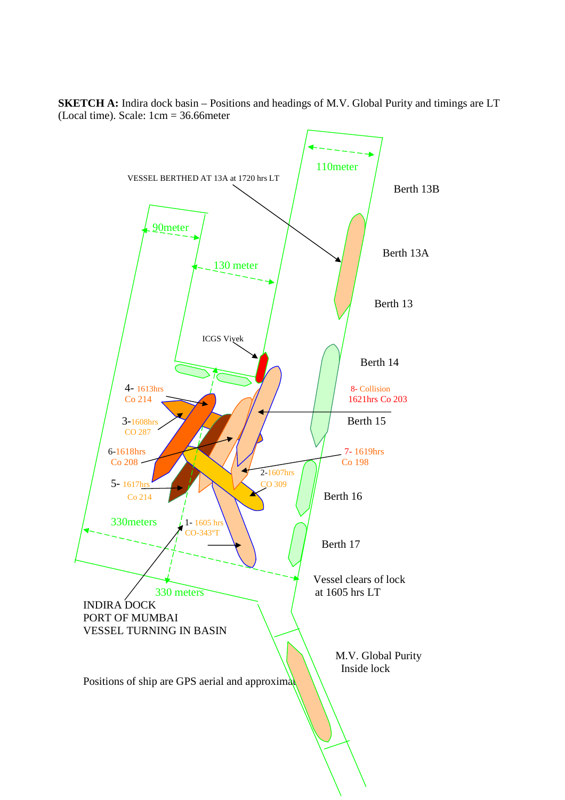**SKETCH A:** Indira dock basin – Positions and headings of M.V. Global Purity and timings are LT (Local time). Scale: 1cm = 36.66meter

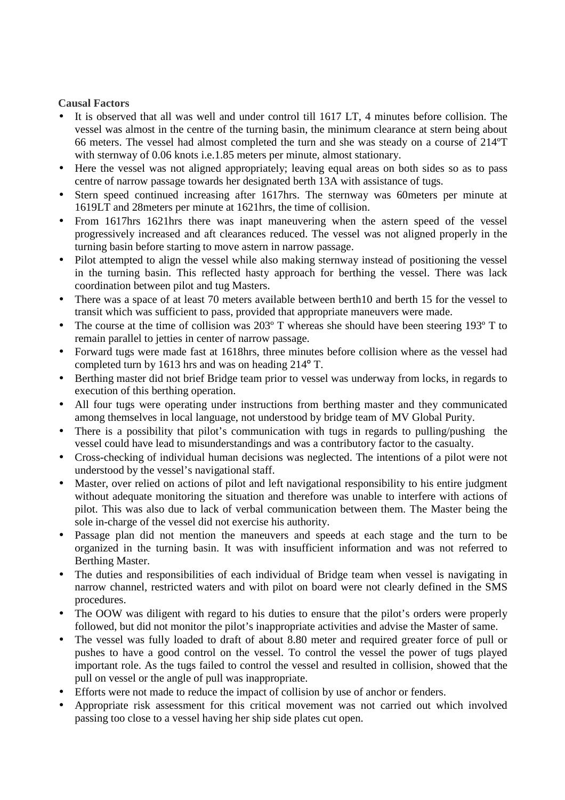## **Causal Factors**

- It is observed that all was well and under control till 1617 LT, 4 minutes before collision. The vessel was almost in the centre of the turning basin, the minimum clearance at stern being about 66 meters. The vessel had almost completed the turn and she was steady on a course of 214ºT with sternway of 0.06 knots i.e.1.85 meters per minute, almost stationary.
- Here the vessel was not aligned appropriately; leaving equal areas on both sides so as to pass centre of narrow passage towards her designated berth 13A with assistance of tugs.
- Stern speed continued increasing after 1617hrs. The sternway was 60meters per minute at 1619LT and 28meters per minute at 1621hrs, the time of collision.
- From 1617hrs 1621hrs there was inapt maneuvering when the astern speed of the vessel progressively increased and aft clearances reduced. The vessel was not aligned properly in the turning basin before starting to move astern in narrow passage.
- Pilot attempted to align the vessel while also making sternway instead of positioning the vessel in the turning basin. This reflected hasty approach for berthing the vessel. There was lack coordination between pilot and tug Masters.
- There was a space of at least 70 meters available between berth10 and berth 15 for the vessel to transit which was sufficient to pass, provided that appropriate maneuvers were made.
- The course at the time of collision was 203° T whereas she should have been steering 193° T to remain parallel to jetties in center of narrow passage.
- Forward tugs were made fast at 1618hrs, three minutes before collision where as the vessel had completed turn by 1613 hrs and was on heading 214º T.
- Berthing master did not brief Bridge team prior to vessel was underway from locks, in regards to execution of this berthing operation.
- All four tugs were operating under instructions from berthing master and they communicated among themselves in local language, not understood by bridge team of MV Global Purity.
- There is a possibility that pilot's communication with tugs in regards to pulling/pushing the vessel could have lead to misunderstandings and was a contributory factor to the casualty.
- Cross-checking of individual human decisions was neglected. The intentions of a pilot were not understood by the vessel's navigational staff.
- Master, over relied on actions of pilot and left navigational responsibility to his entire judgment without adequate monitoring the situation and therefore was unable to interfere with actions of pilot. This was also due to lack of verbal communication between them. The Master being the sole in-charge of the vessel did not exercise his authority.
- Passage plan did not mention the maneuvers and speeds at each stage and the turn to be organized in the turning basin. It was with insufficient information and was not referred to Berthing Master.
- The duties and responsibilities of each individual of Bridge team when vessel is navigating in narrow channel, restricted waters and with pilot on board were not clearly defined in the SMS procedures.
- The OOW was diligent with regard to his duties to ensure that the pilot's orders were properly followed, but did not monitor the pilot's inappropriate activities and advise the Master of same.
- The vessel was fully loaded to draft of about 8.80 meter and required greater force of pull or pushes to have a good control on the vessel. To control the vessel the power of tugs played important role. As the tugs failed to control the vessel and resulted in collision, showed that the pull on vessel or the angle of pull was inappropriate.
- Efforts were not made to reduce the impact of collision by use of anchor or fenders.
- Appropriate risk assessment for this critical movement was not carried out which involved passing too close to a vessel having her ship side plates cut open.